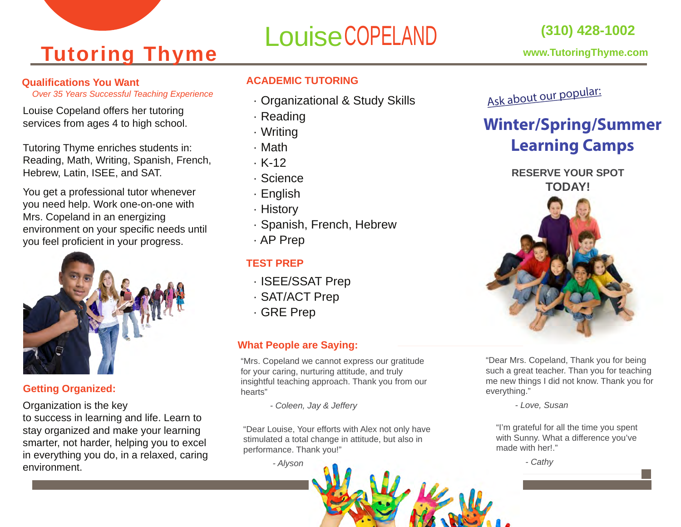## **Tutoring Thyme**

#### **Qualifications You Want**

*Over 35 Years Successful Teaching Experience*

Louise Copeland offers her tutoring services from ages 4 to high school.

Tutoring Thyme enriches students in: Reading, Math, Writing, Spanish, French, Hebrew, Latin, ISEE, and SAT.

You get a professional tutor whenever you need help. Work one-on-one with Mrs. Copeland in an energizing environment on your specific needs until you feel proficient in your progress.



#### **Getting Organized:**

Organization is the key

to success in learning and life. Learn to stay organized and make your learning smarter, not harder, helping you to excel in everything you do, in a relaxed, caring environment.

# LouiseCOPELAND

#### **ACADEMIC TUTORING**

- · Organizational & Study Skills
- · Reading
- · Writing
- · Math
- · K-12
- · Science
- · English
- · History
- · Spanish, French, Hebrew
- · AP Prep

#### **TEST PREP**

- · ISEE/SSAT Prep
- · SAT/ACT Prep
- · GRE Prep

#### **What People are Saying:**

"Mrs. Copeland we cannot express our gratitude for your caring, nurturing attitude, and truly insightful teaching approach. Thank you from our hearts"

 *- Coleen, Jay & Jeffery*

"Dear Louise, Your efforts with Alex not only have stimulated a total change in attitude, but also in performance. Thank you!"

 *- Alyson*





### **Winter/Spring/Summer Learning Camps**

**RESERVE YOUR SPOT TODAY!**



"Dear Mrs. Copeland, Thank you for being such a great teacher. Than you for teaching me new things I did not know. Thank you for everything."

 *- Love, Susan*

"I'm grateful for all the time you spent with Sunny. What a difference you've made with her!."

 *- Cathy*